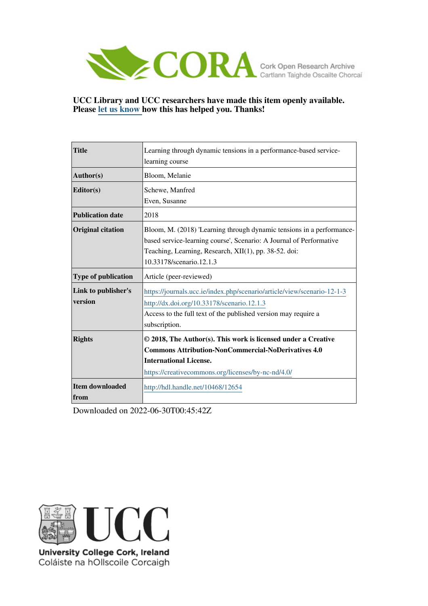

**UCC Library and UCC researchers have made this item openly available. Please [let us know h](https://libguides.ucc.ie/openaccess/impact?suffix=12654&title=Learning through dynamic tensions in a performance-based service-learning course)ow this has helped you. Thanks!**

| <b>Title</b>                   | Learning through dynamic tensions in a performance-based service-                                                                                                                                                                 |
|--------------------------------|-----------------------------------------------------------------------------------------------------------------------------------------------------------------------------------------------------------------------------------|
|                                | learning course                                                                                                                                                                                                                   |
| Author(s)                      | Bloom, Melanie                                                                                                                                                                                                                    |
| Editor(s)                      | Schewe, Manfred                                                                                                                                                                                                                   |
|                                | Even, Susanne                                                                                                                                                                                                                     |
| <b>Publication date</b>        | 2018                                                                                                                                                                                                                              |
| <b>Original citation</b>       | Bloom, M. (2018) 'Learning through dynamic tensions in a performance-<br>based service-learning course', Scenario: A Journal of Performative<br>Teaching, Learning, Research, XII(1), pp. 38-52. doi:<br>10.33178/scenario.12.1.3 |
| <b>Type of publication</b>     | Article (peer-reviewed)                                                                                                                                                                                                           |
| Link to publisher's<br>version | https://journals.ucc.ie/index.php/scenario/article/view/scenario-12-1-3<br>http://dx.doi.org/10.33178/scenario.12.1.3<br>Access to the full text of the published version may require a<br>subscription.                          |
| <b>Rights</b>                  | © 2018, The Author(s). This work is licensed under a Creative<br><b>Commons Attribution-NonCommercial-NoDerivatives 4.0</b><br><b>International License.</b><br>https://creativecommons.org/licenses/by-nc-nd/4.0/                |
| <b>Item downloaded</b><br>from | http://hdl.handle.net/10468/12654                                                                                                                                                                                                 |

Downloaded on 2022-06-30T00:45:42Z



University College Cork, Ireland Coláiste na hOllscoile Corcaigh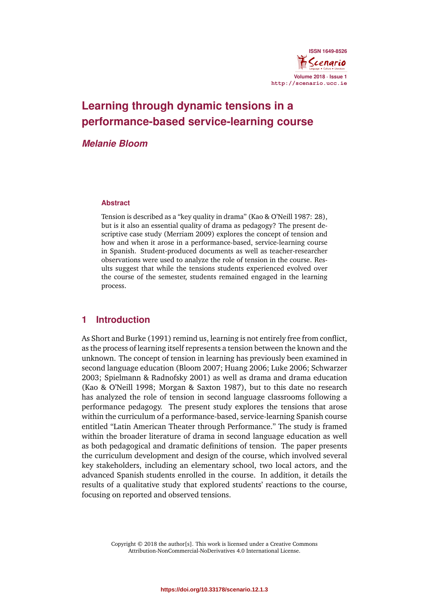

# **Learning through dynamic tensions in a performance-based service-learning course**

## *Melanie Bloom*

#### **Abstract**

Tension is described as a "key quality in drama" (Kao & O'Neill 1987: 28), but is it also an essential quality of drama as pedagogy? The present descriptive case study (Merriam 2009) explores the concept of tension and how and when it arose in a performance-based, service-learning course in Spanish. Student-produced documents as well as teacher-researcher observations were used to analyze the role of tension in the course. Results suggest that while the tensions students experienced evolved over the course of the semester, students remained engaged in the learning process.

### **1 Introduction**

As Short and Burke (1991) remind us, learning is not entirely free from conflict, as the process of learning itself represents a tension between the known and the unknown. The concept of tension in learning has previously been examined in second language education (Bloom 2007; Huang 2006; Luke 2006; Schwarzer 2003; Spielmann & Radnofsky 2001) as well as drama and drama education (Kao & O'Neill 1998; Morgan & Saxton 1987), but to this date no research has analyzed the role of tension in second language classrooms following a performance pedagogy. The present study explores the tensions that arose within the curriculum of a performance-based, service-learning Spanish course entitled "Latin American Theater through Performance." The study is framed within the broader literature of drama in second language education as well as both pedagogical and dramatic definitions of tension. The paper presents the curriculum development and design of the course, which involved several key stakeholders, including an elementary school, two local actors, and the advanced Spanish students enrolled in the course. In addition, it details the results of a qualitative study that explored students' reactions to the course, focusing on reported and observed tensions.

> Copyright © 2018 the author[s]. This work is licensed under a Creative Commons Attribution-NonCommercial-NoDerivatives 4.0 International License.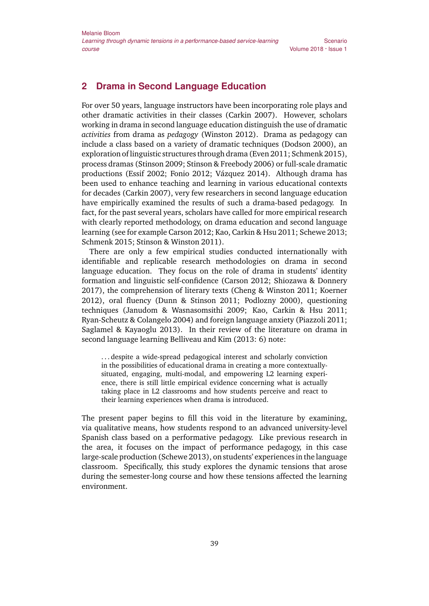# **2 Drama in Second Language Education**

For over 50 years, language instructors have been incorporating role plays and other dramatic activities in their classes (Carkin 2007). However, scholars working in drama in second language education distinguish the use of dramatic *activities* from drama as *pedagogy* (Winston 2012). Drama as pedagogy can include a class based on a variety of dramatic techniques (Dodson 2000), an exploration of linguistic structures through drama (Even 2011; Schmenk 2015), process dramas (Stinson 2009; Stinson & Freebody 2006) or full-scale dramatic productions (Essif 2002; Fonio 2012; Vázquez 2014). Although drama has been used to enhance teaching and learning in various educational contexts for decades (Carkin 2007), very few researchers in second language education have empirically examined the results of such a drama-based pedagogy. In fact, for the past several years, scholars have called for more empirical research with clearly reported methodology, on drama education and second language learning (see for example Carson 2012; Kao, Carkin & Hsu 2011; Schewe 2013; Schmenk 2015; Stinson & Winston 2011).

There are only a few empirical studies conducted internationally with identifiable and replicable research methodologies on drama in second language education. They focus on the role of drama in students' identity formation and linguistic self-confidence (Carson 2012; Shiozawa & Donnery 2017), the comprehension of literary texts (Cheng & Winston 2011; Koerner 2012), oral fluency (Dunn & Stinson 2011; Podlozny 2000), questioning techniques (Janudom & Wasnasomsithi 2009; Kao, Carkin & Hsu 2011; Ryan-Scheutz & Colangelo 2004) and foreign language anxiety (Piazzoli 2011; Saglamel & Kayaoglu 2013). In their review of the literature on drama in second language learning Belliveau and Kim (2013: 6) note:

. . . despite a wide-spread pedagogical interest and scholarly conviction in the possibilities of educational drama in creating a more contextuallysituated, engaging, multi-modal, and empowering L2 learning experience, there is still little empirical evidence concerning what is actually taking place in L2 classrooms and how students perceive and react to their learning experiences when drama is introduced.

The present paper begins to fill this void in the literature by examining, via qualitative means, how students respond to an advanced university-level Spanish class based on a performative pedagogy. Like previous research in the area, it focuses on the impact of performance pedagogy, in this case large-scale production (Schewe 2013), on students' experiences in the language classroom. Specifically, this study explores the dynamic tensions that arose during the semester-long course and how these tensions affected the learning environment.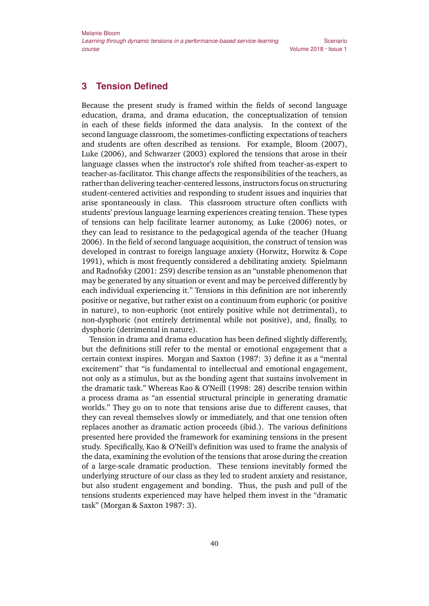# **3 Tension Defined**

Because the present study is framed within the fields of second language education, drama, and drama education, the conceptualization of tension in each of these fields informed the data analysis. In the context of the second language classroom, the sometimes-conflicting expectations of teachers and students are often described as tensions. For example, Bloom (2007), Luke (2006), and Schwarzer (2003) explored the tensions that arose in their language classes when the instructor's role shifted from teacher-as-expert to teacher-as-facilitator. This change affects the responsibilities of the teachers, as rather than delivering teacher-centered lessons, instructors focus on structuring student-centered activities and responding to student issues and inquiries that arise spontaneously in class. This classroom structure often conflicts with students' previous language learning experiences creating tension. These types of tensions can help facilitate learner autonomy, as Luke (2006) notes, or they can lead to resistance to the pedagogical agenda of the teacher (Huang 2006). In the field of second language acquisition, the construct of tension was developed in contrast to foreign language anxiety (Horwitz, Horwitz & Cope 1991), which is most frequently considered a debilitating anxiety. Spielmann and Radnofsky (2001: 259) describe tension as an "unstable phenomenon that may be generated by any situation or event and may be perceived differently by each individual experiencing it." Tensions in this definition are not inherently positive or negative, but rather exist on a continuum from euphoric (or positive in nature), to non-euphoric (not entirely positive while not detrimental), to non-dysphoric (not entirely detrimental while not positive), and, finally, to dysphoric (detrimental in nature).

Tension in drama and drama education has been defined slightly differently, but the definitions still refer to the mental or emotional engagement that a certain context inspires. Morgan and Saxton (1987: 3) define it as a "mental excitement" that "is fundamental to intellectual and emotional engagement, not only as a stimulus, but as the bonding agent that sustains involvement in the dramatic task." Whereas Kao & O'Neill (1998: 28) describe tension within a process drama as "an essential structural principle in generating dramatic worlds." They go on to note that tensions arise due to different causes, that they can reveal themselves slowly or immediately, and that one tension often replaces another as dramatic action proceeds (ibid.). The various definitions presented here provided the framework for examining tensions in the present study. Specifically, Kao & O'Neill's definition was used to frame the analysis of the data, examining the evolution of the tensions that arose during the creation of a large-scale dramatic production. These tensions inevitably formed the underlying structure of our class as they led to student anxiety and resistance, but also student engagement and bonding. Thus, the push and pull of the tensions students experienced may have helped them invest in the "dramatic task" (Morgan & Saxton 1987: 3).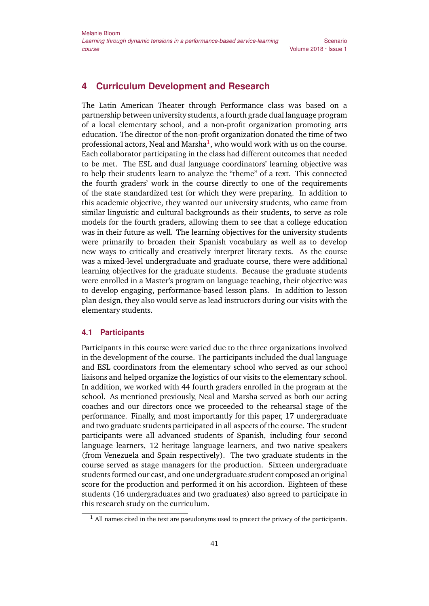# **4 Curriculum Development and Research**

The Latin American Theater through Performance class was based on a partnership between university students, a fourth grade dual language program of a local elementary school, and a non-profit organization promoting arts education. The director of the non-profit organization donated the time of two professional actors, Neal and Marsha $^{\rm l}$ , who would work with us on the course. Each collaborator participating in the class had different outcomes that needed to be met. The ESL and dual language coordinators' learning objective was to help their students learn to analyze the "theme" of a text. This connected the fourth graders' work in the course directly to one of the requirements of the state standardized test for which they were preparing. In addition to this academic objective, they wanted our university students, who came from similar linguistic and cultural backgrounds as their students, to serve as role models for the fourth graders, allowing them to see that a college education was in their future as well. The learning objectives for the university students were primarily to broaden their Spanish vocabulary as well as to develop new ways to critically and creatively interpret literary texts. As the course was a mixed-level undergraduate and graduate course, there were additional learning objectives for the graduate students. Because the graduate students were enrolled in a Master's program on language teaching, their objective was to develop engaging, performance-based lesson plans. In addition to lesson plan design, they also would serve as lead instructors during our visits with the elementary students.

#### **4.1 Participants**

Participants in this course were varied due to the three organizations involved in the development of the course. The participants included the dual language and ESL coordinators from the elementary school who served as our school liaisons and helped organize the logistics of our visits to the elementary school. In addition, we worked with 44 fourth graders enrolled in the program at the school. As mentioned previously, Neal and Marsha served as both our acting coaches and our directors once we proceeded to the rehearsal stage of the performance. Finally, and most importantly for this paper, 17 undergraduate and two graduate students participated in all aspects of the course. The student participants were all advanced students of Spanish, including four second language learners, 12 heritage language learners, and two native speakers (from Venezuela and Spain respectively). The two graduate students in the course served as stage managers for the production. Sixteen undergraduate students formed our cast, and one undergraduate student composed an original score for the production and performed it on his accordion. Eighteen of these students (16 undergraduates and two graduates) also agreed to participate in this research study on the curriculum.

 $<sup>1</sup>$  All names cited in the text are pseudonyms used to protect the privacy of the participants.</sup>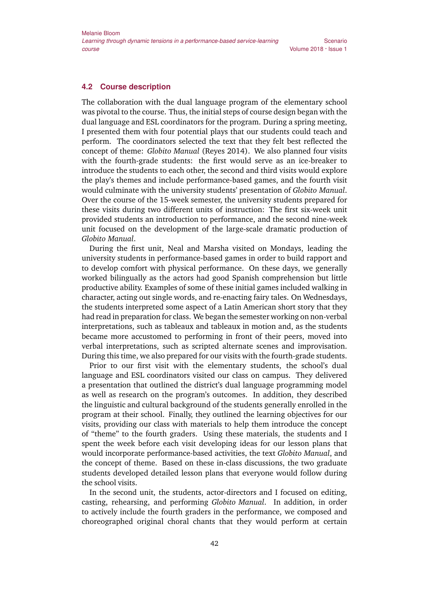Scenario

#### **4.2 Course description**

The collaboration with the dual language program of the elementary school was pivotal to the course. Thus, the initial steps of course design began with the dual language and ESL coordinators for the program. During a spring meeting, I presented them with four potential plays that our students could teach and perform. The coordinators selected the text that they felt best reflected the concept of theme: *Globito Manual* (Reyes 2014). We also planned four visits with the fourth-grade students: the first would serve as an ice-breaker to introduce the students to each other, the second and third visits would explore the play's themes and include performance-based games, and the fourth visit would culminate with the university students' presentation of *Globito Manual*. Over the course of the 15-week semester, the university students prepared for these visits during two different units of instruction: The first six-week unit provided students an introduction to performance, and the second nine-week unit focused on the development of the large-scale dramatic production of *Globito Manual*.

During the first unit, Neal and Marsha visited on Mondays, leading the university students in performance-based games in order to build rapport and to develop comfort with physical performance. On these days, we generally worked bilingually as the actors had good Spanish comprehension but little productive ability. Examples of some of these initial games included walking in character, acting out single words, and re-enacting fairy tales. On Wednesdays, the students interpreted some aspect of a Latin American short story that they had read in preparation for class. We began the semester working on non-verbal interpretations, such as tableaux and tableaux in motion and, as the students became more accustomed to performing in front of their peers, moved into verbal interpretations, such as scripted alternate scenes and improvisation. During this time, we also prepared for our visits with the fourth-grade students.

Prior to our first visit with the elementary students, the school's dual language and ESL coordinators visited our class on campus. They delivered a presentation that outlined the district's dual language programming model as well as research on the program's outcomes. In addition, they described the linguistic and cultural background of the students generally enrolled in the program at their school. Finally, they outlined the learning objectives for our visits, providing our class with materials to help them introduce the concept of "theme" to the fourth graders. Using these materials, the students and I spent the week before each visit developing ideas for our lesson plans that would incorporate performance-based activities, the text *Globito Manual*, and the concept of theme. Based on these in-class discussions, the two graduate students developed detailed lesson plans that everyone would follow during the school visits.

In the second unit, the students, actor-directors and I focused on editing, casting, rehearsing, and performing *Globito Manual*. In addition, in order to actively include the fourth graders in the performance, we composed and choreographed original choral chants that they would perform at certain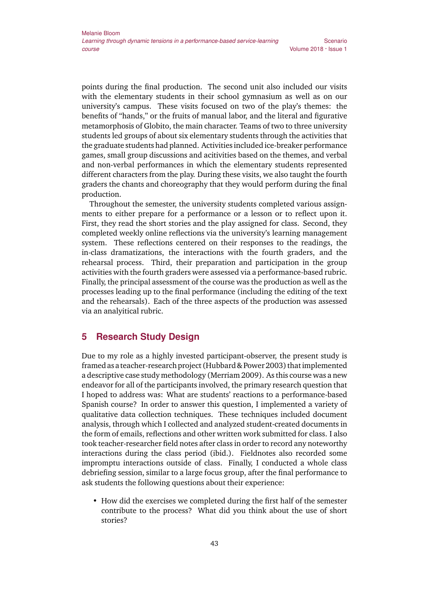points during the final production. The second unit also included our visits with the elementary students in their school gymnasium as well as on our university's campus. These visits focused on two of the play's themes: the benefits of "hands," or the fruits of manual labor, and the literal and figurative metamorphosis of Globito, the main character. Teams of two to three university students led groups of about six elementary students through the activities that the graduate students had planned. Activities included ice-breaker performance games, small group discussions and acitivities based on the themes, and verbal and non-verbal performances in which the elementary students represented different characters from the play. During these visits, we also taught the fourth graders the chants and choreography that they would perform during the final production.

Throughout the semester, the university students completed various assignments to either prepare for a performance or a lesson or to reflect upon it. First, they read the short stories and the play assigned for class. Second, they completed weekly online reflections via the university's learning management system. These reflections centered on their responses to the readings, the in-class dramatizations, the interactions with the fourth graders, and the rehearsal process. Third, their preparation and participation in the group activities with the fourth graders were assessed via a performance-based rubric. Finally, the principal assessment of the course was the production as well as the processes leading up to the final performance (including the editing of the text and the rehearsals). Each of the three aspects of the production was assessed via an analyitical rubric.

### **5 Research Study Design**

Due to my role as a highly invested participant-observer, the present study is framed as a teacher-research project (Hubbard & Power 2003) thatimplemented a descriptive case study methodology (Merriam 2009). As this course was a new endeavor for all of the participants involved, the primary research question that I hoped to address was: What are students' reactions to a performance-based Spanish course? In order to answer this question, I implemented a variety of qualitative data collection techniques. These techniques included document analysis, through which I collected and analyzed student-created documents in the form of emails, reflections and other written work submitted for class. I also took teacher-researcher field notes after class in order to record any noteworthy interactions during the class period (ibid.). Fieldnotes also recorded some impromptu interactions outside of class. Finally, I conducted a whole class debriefing session, similar to a large focus group, after the final performance to ask students the following questions about their experience:

• How did the exercises we completed during the first half of the semester contribute to the process? What did you think about the use of short stories?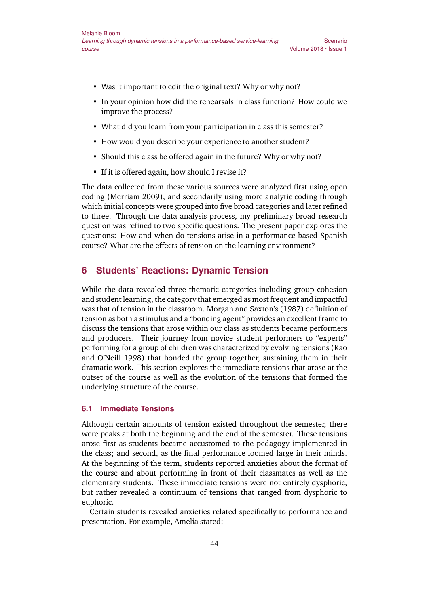- Was it important to edit the original text? Why or why not?
- In your opinion how did the rehearsals in class function? How could we improve the process?

Scenario

- What did you learn from your participation in class this semester?
- How would you describe your experience to another student?
- Should this class be offered again in the future? Why or why not?
- If it is offered again, how should I revise it?

The data collected from these various sources were analyzed first using open coding (Merriam 2009), and secondarily using more analytic coding through which initial concepts were grouped into five broad categories and later refined to three. Through the data analysis process, my preliminary broad research question was refined to two specific questions. The present paper explores the questions: How and when do tensions arise in a performance-based Spanish course? What are the effects of tension on the learning environment?

#### **6 Students' Reactions: Dynamic Tension**

While the data revealed three thematic categories including group cohesion and student learning, the category that emerged as most frequent and impactful was that of tension in the classroom. Morgan and Saxton's (1987) definition of tension as both a stimulus and a "bonding agent" provides an excellent frame to discuss the tensions that arose within our class as students became performers and producers. Their journey from novice student performers to "experts" performing for a group of children was characterized by evolving tensions (Kao and O'Neill 1998) that bonded the group together, sustaining them in their dramatic work. This section explores the immediate tensions that arose at the outset of the course as well as the evolution of the tensions that formed the underlying structure of the course.

#### **6.1 Immediate Tensions**

Although certain amounts of tension existed throughout the semester, there were peaks at both the beginning and the end of the semester. These tensions arose first as students became accustomed to the pedagogy implemented in the class; and second, as the final performance loomed large in their minds. At the beginning of the term, students reported anxieties about the format of the course and about performing in front of their classmates as well as the elementary students. These immediate tensions were not entirely dysphoric, but rather revealed a continuum of tensions that ranged from dysphoric to euphoric.

Certain students revealed anxieties related specifically to performance and presentation. For example, Amelia stated: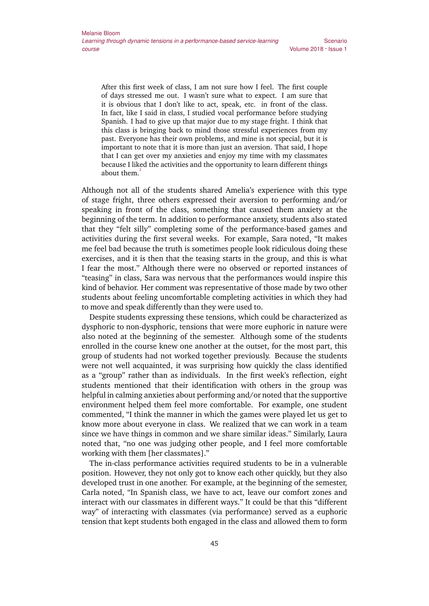After this first week of class, I am not sure how I feel. The first couple of days stressed me out. I wasn't sure what to expect. I am sure that it is obvious that I don't like to act, speak, etc. in front of the class. In fact, like I said in class, I studied vocal performance before studying Spanish. I had to give up that major due to my stage fright. I think that this class is bringing back to mind those stressful experiences from my past. Everyone has their own problems, and mine is not special, but it is important to note that it is more than just an aversion. That said, I hope that I can get over my anxieties and enjoy my time with my classmates because I liked the activities and the opportunity to learn different things about them.<sup>2</sup>

Although not all of the students shared Amelia's experience with this type of stage fright, three others expressed their aversion to performing and/or speaking in front of the class, something that caused them anxiety at the beginning of the term. In addition to performance anxiety, students also stated that they "felt silly" completing some of the performance-based games and activities during the first several weeks. For example, Sara noted, "It makes me feel bad because the truth is sometimes people look ridiculous doing these exercises, and it is then that the teasing starts in the group, and this is what I fear the most." Although there were no observed or reported instances of "teasing" in class, Sara was nervous that the performances would inspire this kind of behavior. Her comment was representative of those made by two other students about feeling uncomfortable completing activities in which they had to move and speak differently than they were used to.

Despite students expressing these tensions, which could be characterized as dysphoric to non-dysphoric, tensions that were more euphoric in nature were also noted at the beginning of the semester. Although some of the students enrolled in the course knew one another at the outset, for the most part, this group of students had not worked together previously. Because the students were not well acquainted, it was surprising how quickly the class identified as a "group" rather than as individuals. In the first week's reflection, eight students mentioned that their identification with others in the group was helpful in calming anxieties about performing and/or noted that the supportive environment helped them feel more comfortable. For example, one student commented, "I think the manner in which the games were played let us get to know more about everyone in class. We realized that we can work in a team since we have things in common and we share similar ideas." Similarly, Laura noted that, "no one was judging other people, and I feel more comfortable working with them [her classmates]."

The in-class performance activities required students to be in a vulnerable position. However, they not only got to know each other quickly, but they also developed trust in one another. For example, at the beginning of the semester, Carla noted, "In Spanish class, we have to act, leave our comfort zones and interact with our classmates in different ways." It could be that this "different way" of interacting with classmates (via performance) served as a euphoric tension that kept students both engaged in the class and allowed them to form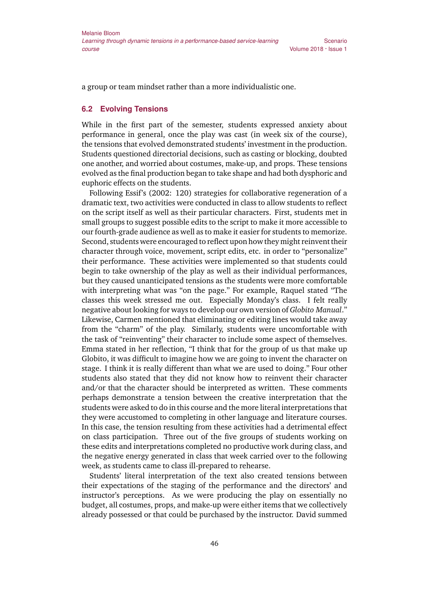a group or team mindset rather than a more individualistic one.

#### **6.2 Evolving Tensions**

While in the first part of the semester, students expressed anxiety about performance in general, once the play was cast (in week six of the course), the tensions that evolved demonstrated students' investment in the production. Students questioned directorial decisions, such as casting or blocking, doubted one another, and worried about costumes, make-up, and props. These tensions evolved as the final production began to take shape and had both dysphoric and euphoric effects on the students.

Following Essif's (2002: 120) strategies for collaborative regeneration of a dramatic text, two activities were conducted in class to allow students to reflect on the script itself as well as their particular characters. First, students met in small groups to suggest possible edits to the script to make it more accessible to our fourth-grade audience as well as to make it easier for students to memorize. Second, students were encouraged to reflect upon how they might reinvent their character through voice, movement, script edits, etc. in order to "personalize" their performance. These activities were implemented so that students could begin to take ownership of the play as well as their individual performances, but they caused unanticipated tensions as the students were more comfortable with interpreting what was "on the page." For example, Raquel stated "The classes this week stressed me out. Especially Monday's class. I felt really negative about looking for ways to develop our own version of *Globito Manual*." Likewise, Carmen mentioned that eliminating or editing lines would take away from the "charm" of the play. Similarly, students were uncomfortable with the task of "reinventing" their character to include some aspect of themselves. Emma stated in her reflection, "I think that for the group of us that make up Globito, it was difficult to imagine how we are going to invent the character on stage. I think it is really different than what we are used to doing." Four other students also stated that they did not know how to reinvent their character and/or that the character should be interpreted as written. These comments perhaps demonstrate a tension between the creative interpretation that the students were asked to do in this course and the more literal interpretations that they were accustomed to completing in other language and literature courses. In this case, the tension resulting from these activities had a detrimental effect on class participation. Three out of the five groups of students working on these edits and interpretations completed no productive work during class, and the negative energy generated in class that week carried over to the following week, as students came to class ill-prepared to rehearse.

Students' literal interpretation of the text also created tensions between their expectations of the staging of the performance and the directors' and instructor's perceptions. As we were producing the play on essentially no budget, all costumes, props, and make-up were either items that we collectively already possessed or that could be purchased by the instructor. David summed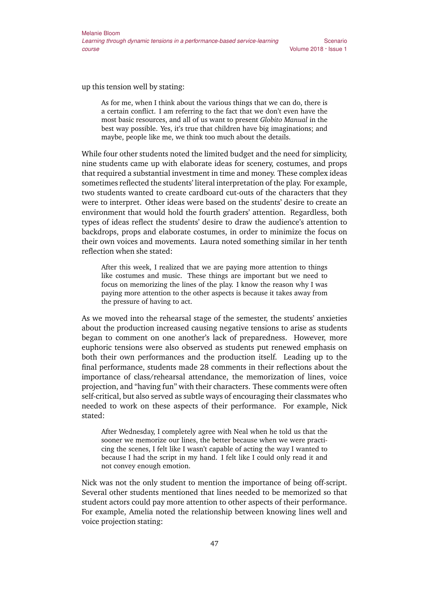up this tension well by stating:

As for me, when I think about the various things that we can do, there is a certain conflict. I am referring to the fact that we don't even have the most basic resources, and all of us want to present *Globito Manual* in the best way possible. Yes, it's true that children have big imaginations; and maybe, people like me, we think too much about the details.

While four other students noted the limited budget and the need for simplicity, nine students came up with elaborate ideas for scenery, costumes, and props that required a substantial investment in time and money. These complex ideas sometimes reflected the students' literal interpretation of the play. For example, two students wanted to create cardboard cut-outs of the characters that they were to interpret. Other ideas were based on the students' desire to create an environment that would hold the fourth graders' attention. Regardless, both types of ideas reflect the students' desire to draw the audience's attention to backdrops, props and elaborate costumes, in order to minimize the focus on their own voices and movements. Laura noted something similar in her tenth reflection when she stated:

After this week, I realized that we are paying more attention to things like costumes and music. These things are important but we need to focus on memorizing the lines of the play. I know the reason why I was paying more attention to the other aspects is because it takes away from the pressure of having to act.

As we moved into the rehearsal stage of the semester, the students' anxieties about the production increased causing negative tensions to arise as students began to comment on one another's lack of preparedness. However, more euphoric tensions were also observed as students put renewed emphasis on both their own performances and the production itself. Leading up to the final performance, students made 28 comments in their reflections about the importance of class/rehearsal attendance, the memorization of lines, voice projection, and "having fun" with their characters. These comments were often self-critical, but also served as subtle ways of encouraging their classmates who needed to work on these aspects of their performance. For example, Nick stated:

After Wednesday, I completely agree with Neal when he told us that the sooner we memorize our lines, the better because when we were practicing the scenes, I felt like I wasn't capable of acting the way I wanted to because I had the script in my hand. I felt like I could only read it and not convey enough emotion.

Nick was not the only student to mention the importance of being off-script. Several other students mentioned that lines needed to be memorized so that student actors could pay more attention to other aspects of their performance. For example, Amelia noted the relationship between knowing lines well and voice projection stating: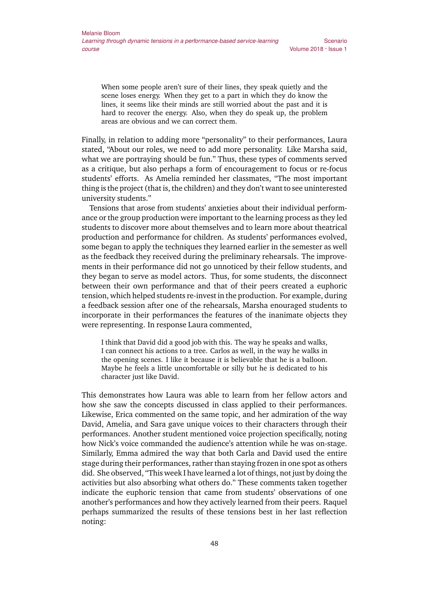When some people aren't sure of their lines, they speak quietly and the scene loses energy. When they get to a part in which they do know the lines, it seems like their minds are still worried about the past and it is hard to recover the energy. Also, when they do speak up, the problem areas are obvious and we can correct them.

Finally, in relation to adding more "personality" to their performances, Laura stated, "About our roles, we need to add more personality. Like Marsha said, what we are portraying should be fun." Thus, these types of comments served as a critique, but also perhaps a form of encouragement to focus or re-focus students' efforts. As Amelia reminded her classmates, "The most important thing is the project (that is, the children) and they don't want to see uninterested university students."

Tensions that arose from students' anxieties about their individual performance or the group production were important to the learning process as they led students to discover more about themselves and to learn more about theatrical production and performance for children. As students' performances evolved, some began to apply the techniques they learned earlier in the semester as well as the feedback they received during the preliminary rehearsals. The improvements in their performance did not go unnoticed by their fellow students, and they began to serve as model actors. Thus, for some students, the disconnect between their own performance and that of their peers created a euphoric tension, which helped students re-invest in the production. For example, during a feedback session after one of the rehearsals, Marsha enouraged students to incorporate in their performances the features of the inanimate objects they were representing. In response Laura commented,

I think that David did a good job with this. The way he speaks and walks, I can connect his actions to a tree. Carlos as well, in the way he walks in the opening scenes. I like it because it is believable that he is a balloon. Maybe he feels a little uncomfortable or silly but he is dedicated to his character just like David.

This demonstrates how Laura was able to learn from her fellow actors and how she saw the concepts discussed in class applied to their performances. Likewise, Erica commented on the same topic, and her admiration of the way David, Amelia, and Sara gave unique voices to their characters through their performances. Another student mentioned voice projection specifically, noting how Nick's voice commanded the audience's attention while he was on-stage. Similarly, Emma admired the way that both Carla and David used the entire stage during their performances, rather than staying frozen in one spot as others did. She observed, "This week I have learned a lot of things, not just by doing the activities but also absorbing what others do." These comments taken together indicate the euphoric tension that came from students' observations of one another's performances and how they actively learned from their peers. Raquel perhaps summarized the results of these tensions best in her last reflection noting: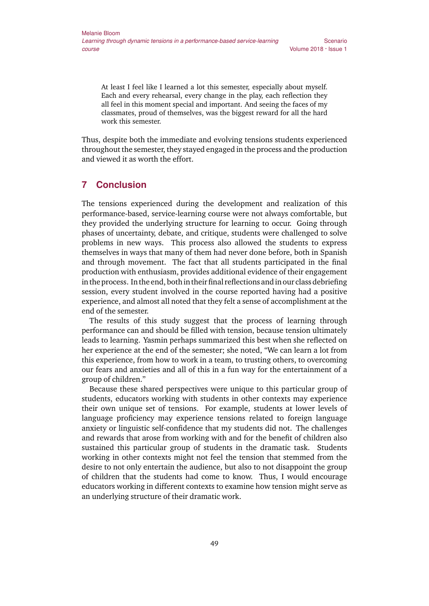At least I feel like I learned a lot this semester, especially about myself. Each and every rehearsal, every change in the play, each reflection they all feel in this moment special and important. And seeing the faces of my classmates, proud of themselves, was the biggest reward for all the hard work this semester.

Thus, despite both the immediate and evolving tensions students experienced throughout the semester, they stayed engaged in the process and the production and viewed it as worth the effort.

## **7 Conclusion**

The tensions experienced during the development and realization of this performance-based, service-learning course were not always comfortable, but they provided the underlying structure for learning to occur. Going through phases of uncertainty, debate, and critique, students were challenged to solve problems in new ways. This process also allowed the students to express themselves in ways that many of them had never done before, both in Spanish and through movement. The fact that all students participated in the final production with enthusiasm, provides additional evidence of their engagement in the process. In the end, bothin their final reflections andin our class debriefing session, every student involved in the course reported having had a positive experience, and almost all noted that they felt a sense of accomplishment at the end of the semester.

The results of this study suggest that the process of learning through performance can and should be filled with tension, because tension ultimately leads to learning. Yasmin perhaps summarized this best when she reflected on her experience at the end of the semester; she noted, "We can learn a lot from this experience, from how to work in a team, to trusting others, to overcoming our fears and anxieties and all of this in a fun way for the entertainment of a group of children."

Because these shared perspectives were unique to this particular group of students, educators working with students in other contexts may experience their own unique set of tensions. For example, students at lower levels of language proficiency may experience tensions related to foreign language anxiety or linguistic self-confidence that my students did not. The challenges and rewards that arose from working with and for the benefit of children also sustained this particular group of students in the dramatic task. Students working in other contexts might not feel the tension that stemmed from the desire to not only entertain the audience, but also to not disappoint the group of children that the students had come to know. Thus, I would encourage educators working in different contexts to examine how tension might serve as an underlying structure of their dramatic work.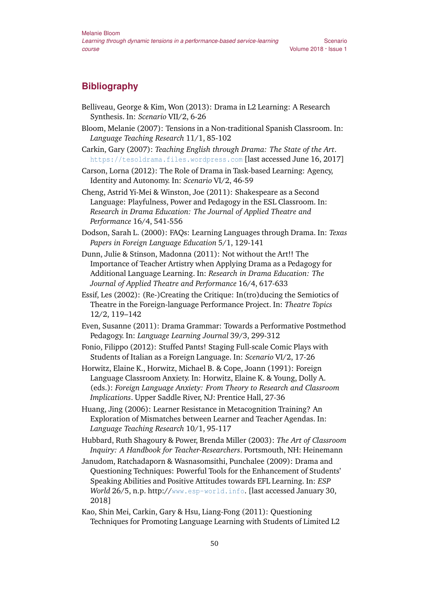# **Bibliography**

- Belliveau, George & Kim, Won (2013): Drama in L2 Learning: A Research Synthesis. In: *Scenario* VII/2, 6-26
- Bloom, Melanie (2007): Tensions in a Non-traditional Spanish Classroom. In: *Language Teaching Research* 11/1, 85-102

Scenario

Carkin, Gary (2007): *Teaching English through Drama: The State of the Art*. <https://tesoldrama.files.wordpress.com> [last accessed June 16, 2017]

Carson, Lorna (2012): The Role of Drama in Task-based Learning: Agency, Identity and Autonomy. In: *Scenario* VI/2, 46-59

Cheng, Astrid Yi-Mei & Winston, Joe (2011): Shakespeare as a Second Language: Playfulness, Power and Pedagogy in the ESL Classroom. In: *Research in Drama Education: The Journal of Applied Theatre and Performance* 16/4, 541-556

Dodson, Sarah L. (2000): FAQs: Learning Languages through Drama. In: *Texas Papers in Foreign Language Education* 5/1, 129-141

Dunn, Julie & Stinson, Madonna (2011): Not without the Art!! The Importance of Teacher Artistry when Applying Drama as a Pedagogy for Additional Language Learning. In: *Research in Drama Education: The Journal of Applied Theatre and Performance* 16/4, 617-633

Essif, Les (2002): (Re-)Creating the Critique: In(tro)ducing the Semiotics of Theatre in the Foreign-language Performance Project. In: *Theatre Topics* 12/2, 119–142

Even, Susanne (2011): Drama Grammar: Towards a Performative Postmethod Pedagogy. In: *Language Learning Journal* 39/3, 299-312

Fonio, Filippo (2012): Stuffed Pants! Staging Full-scale Comic Plays with Students of Italian as a Foreign Language. In: *Scenario* VI/2, 17-26

Horwitz, Elaine K., Horwitz, Michael B. & Cope, Joann (1991): Foreign Language Classroom Anxiety. In: Horwitz, Elaine K. & Young, Dolly A. (eds.): *Foreign Language Anxiety: From Theory to Research and Classroom Implications*. Upper Saddle River, NJ: Prentice Hall, 27-36

Huang, Jing (2006): Learner Resistance in Metacognition Training? An Exploration of Mismatches between Learner and Teacher Agendas. In: *Language Teaching Research* 10/1, 95-117

Hubbard, Ruth Shagoury & Power, Brenda Miller (2003): *The Art of Classroom Inquiry: A Handbook for Teacher-Researchers*. Portsmouth, NH: Heinemann

Janudom, Ratchadaporn & Wasnasomsithi, Punchalee (2009): Drama and Questioning Techniques: Powerful Tools for the Enhancement of Students' Speaking Abilities and Positive Attitudes towards EFL Learning. In: *ESP World* 26/5, n.p. http://[www.esp-world.info](http://www.esp-world.info). [last accessed January 30, 2018]

Kao, Shin Mei, Carkin, Gary & Hsu, Liang-Fong (2011): Questioning Techniques for Promoting Language Learning with Students of Limited L2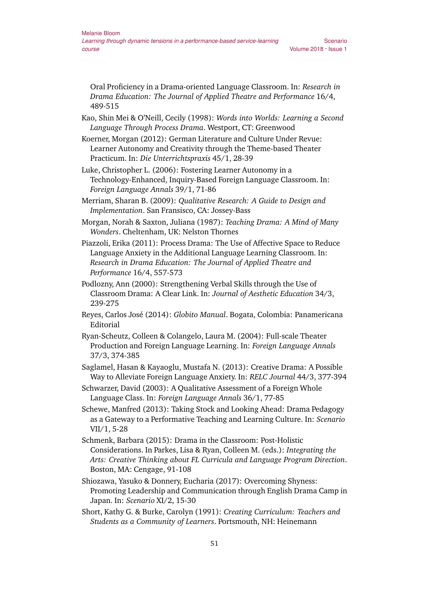Oral Proficiency in a Drama-oriented Language Classroom. In: *Research in Drama Education: The Journal of Applied Theatre and Performance* 16/4, 489-515

- Kao, Shin Mei & O'Neill, Cecily (1998): *Words into Worlds: Learning a Second Language Through Process Drama*. Westport, CT: Greenwood
- Koerner, Morgan (2012): German Literature and Culture Under Revue: Learner Autonomy and Creativity through the Theme-based Theater Practicum. In: *Die Unterrichtspraxis* 45/1, 28-39
- Luke, Christopher L. (2006): Fostering Learner Autonomy in a Technology-Enhanced, Inquiry-Based Foreign Language Classroom. In: *Foreign Language Annals* 39/1, 71-86
- Merriam, Sharan B. (2009): *Qualitative Research: A Guide to Design and Implementation*. San Fransisco, CA: Jossey-Bass
- Morgan, Norah & Saxton, Juliana (1987): *Teaching Drama: A Mind of Many Wonders*. Cheltenham, UK: Nelston Thornes
- Piazzoli, Erika (2011): Process Drama: The Use of Affective Space to Reduce Language Anxiety in the Additional Language Learning Classroom. In: *Research in Drama Education: The Journal of Applied Theatre and Performance* 16/4, 557-573
- Podlozny, Ann (2000): Strengthening Verbal Skills through the Use of Classroom Drama: A Clear Link. In: *Journal of Aesthetic Education* 34/3, 239-275
- Reyes, Carlos José (2014): *Globito Manual*. Bogata, Colombia: Panamericana Editorial
- Ryan-Scheutz, Colleen & Colangelo, Laura M. (2004): Full-scale Theater Production and Foreign Language Learning. In: *Foreign Language Annals* 37/3, 374-385
- Saglamel, Hasan & Kayaoglu, Mustafa N. (2013): Creative Drama: A Possible Way to Alleviate Foreign Language Anxiety. In: *RELC Journal* 44/3, 377-394
- Schwarzer, David (2003): A Qualitative Assessment of a Foreign Whole Language Class. In: *Foreign Language Annals* 36/1, 77-85
- Schewe, Manfred (2013): Taking Stock and Looking Ahead: Drama Pedagogy as a Gateway to a Performative Teaching and Learning Culture. In: *Scenario* VII/1, 5-28
- Schmenk, Barbara (2015): Drama in the Classroom: Post-Holistic Considerations. In Parkes, Lisa & Ryan, Colleen M. (eds.): *Integrating the Arts: Creative Thinking about FL Curricula and Language Program Direction*. Boston, MA: Cengage, 91-108
- Shiozawa, Yasuko & Donnery, Eucharia (2017): Overcoming Shyness: Promoting Leadership and Communication through English Drama Camp in Japan. In: *Scenario* XI/2, 15-30
- Short, Kathy G. & Burke, Carolyn (1991): *Creating Curriculum: Teachers and Students as a Community of Learners*. Portsmouth, NH: Heinemann